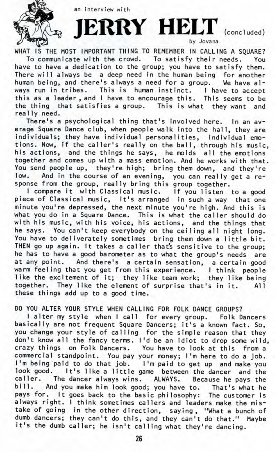

an interview with

**JERRY HELT** (concluded)

by Jovana

WHAT IS THE MOST IMPORTANT THING TO REMEMBER IN CALLING A SQUARE?

To communicate with the crowd. To satisfy their needs. You have to have a dedication to the group; you have to satisfy them. There will always be a deep need in the human being for another human being, and there's always a need for a group. We have always run in tribes. This is human instinct. I have to accept this as a leader , and I have to encourage this. This seems to be the thing that satisfies a group. This is what they want and really need.

There's a psychological thing that's involved here. In an average Square Dance club, when people walk into the hall, they are individuals; they have individual personalities, individual emotions. Now, if the caller's really on the ball, through his music, his actions, and the things he says, he molds all the emotions together and comes up with a mass emotion. And he works with that. You send people up, they're high; bring them down, and they're low. And in the course of an evening, you can really get a response from the group, really bring this group together.

I compare it with Classical music. If you listen to a good piece of Classical music, it's arranged in such a way that one minute you're depressed, the next minute you're high. And this is what you do in a Square Dance. This is what the caller should do with his music, with his voice, his actions, and the things that he says. You can't keep everybody on the ceiling all night long. You have to deliverately sometimes bring them down a little bit. THEN go up again. It takes a caller that's sensitive to the group; he has to have a good barometer as to what the group's needs are at any point. And there's a certain sensation, a certain good warm feeling that you get from this experience. I think people like the excitement of it; they like team work; they like being together. They like the element of surprise that's in it. All these things add up to a good time.

DO YOU ALTER YOUR STYLE WHEN CALLING FOR FOLK DANCE GROUPS?

I alter my style when I call for every group. Folk Dancers basically are not frequent Square Dancers; it's a known fact. So, you change your style of calling for the simple reason that they don't know all the fancy terms. I'd be an idiot to drop some wild, crazy things on Folk Dancers. You have to look at this from a commercial standpoint. You pay your money; I'm here to do a job. I'm being paid to do that job. I'm paid to get up and make you look good. It's like a little game between the dancer and the caller. The dancer always wins. ALWAYS. Because he pays the bill. And you make him look good; you have to. That's what he pays for. It goes back to the basic philosophy: The customer is always right. I think sometimes callers and leaders make the mistake of going in the other direction, saying, "What a bunch of dumb dancers; they can't do this, and they can't do that." Maybe it's the dumb caller; he isn't calling what they're dancing.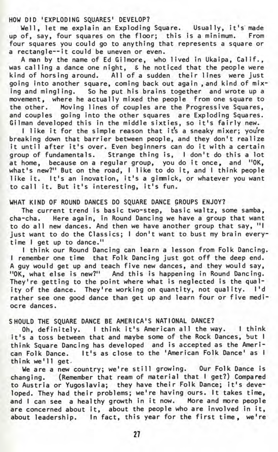HOW DID 'EXPLODING SQUARES' DEVELOP?

Well, let me explain an Exploding Square. Usually, it's' made up of, say, four squares on the floor; this is a minimum. From four squares you could go to anything that represents a square or a rectangle—it could be uneven or even.

A man by the name of Ed Gilmore, who lived in Ukaipa, Calif., was calling a dance one night, & he noticed that the people were kind of horsing around. All of a sudden their lines were just going into another square, coming back out again , and kind of mixing and mingling. So he put his brains together and wrote up a movement, where he actually mixed the people from one square to the other. Moving lines of couples are the Progressive Squares, and couples going into the other squares are Exploding Squares. Gilman developed this in the middle sixties, so it's fairly new.

I like it for the simple reason that it's a sneaky mixer; you're breaking down that barrier between people, and they don't realize it until after it's over. Even beginners can do it with a certain group of fundamentals. Strange thing is, I don't do this a lot at home, because on a regular group, you do it once, and "OK, what's new?" But on the road, I like to do it, and I think people like it. It's an inovation, it's a gimmick, or whatever you want to call it. But it's interesting, it's fun.

## WHAT KIND OF ROUND DANCES DO SQUARE DANCE GROUPS ENJOY?

The current trend is basic two-step, basic waltz, some samba, cha-cha. Here again, in Round Dancing we have a group that want to do all new dances. And then we have another group that say, "I just want to do the Classics; I don't want to bust my brain everytime I get up to dance."

I think our Round Dancing can learn a lesson from Folk Dancing. I remember one time that Folk Dancing just got off the deep end. A guy would get up and teach five new dances, and they would say, "OK, what else is new?" And this is happening in Round Dancing. They're getting to the point where what is neglected is the quality of the dance. They're working on quantity, not quality. I'd rather see one good dance than get up and learn four or five mediocre dances.

## SHOULD THE SQUARE DANCE BE AMERICA'S NATIONAL DANCE?

Oh, definitely. I think it's American all the way. I think it's a toss between that and maybe some of the Rock Dances, but I think Square Dancing has developed and is accepted as the American Folk Dance. It's as close to the 'American Folk Dance' as I think we'll get.

We are a new country; we're still growing. Our Folk Dance is changing. (Remember that ream of material that I get?) Compared to Austria or Yugoslavia; they have their Folk Dance; it's developed. They had their problems; we're having ours. It takes time, and I can see a healthy growth in it now. More and more people are concerned about it, about the people who are involved in it, about leadership. In fact, this year for the first time, we're